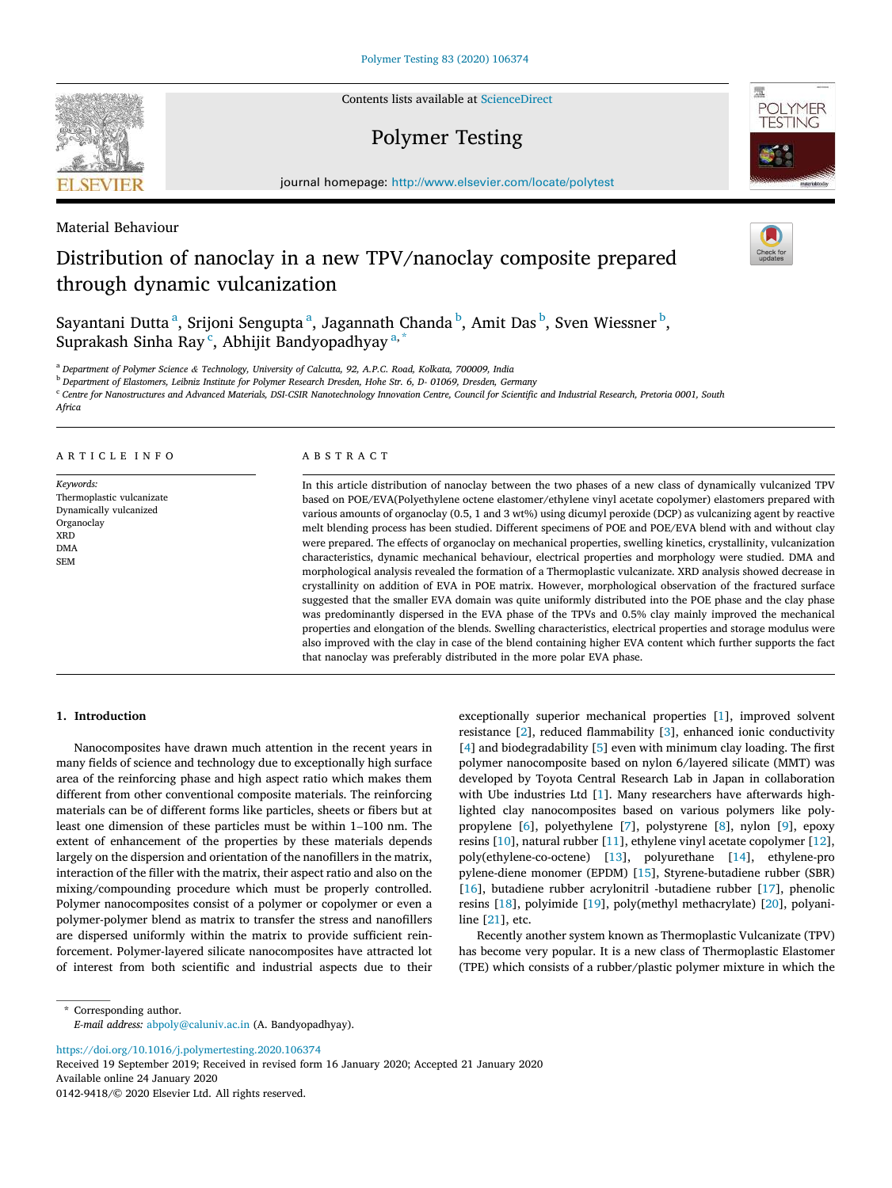**SEVIER** 

Contents lists available at [ScienceDirect](www.sciencedirect.com/science/journal/01429418)

# Polymer Testing



journal homepage: [http://www.elsevier.com/locate/polytest](https://http://www.elsevier.com/locate/polytest)

Material Behaviour

# Distribution of nanoclay in a new TPV/nanoclay composite prepared through dynamic vulcanization

Sayantani Dutta<sup>a</sup>, Srijoni Sengupta<sup>a</sup>, Jagannath Chanda<sup>b</sup>, Amit Das<sup>b</sup>, Sven Wiessner<sup>b</sup>, Suprakash Sinha Ray<sup>c</sup>, Abhijit Bandyopadhyay<sup>a,\*</sup>

<sup>a</sup> *Department of Polymer Science & Technology, University of Calcutta, 92, A.P.C. Road, Kolkata, 700009, India* 

<sup>b</sup> *Department of Elastomers, Leibniz Institute for Polymer Research Dresden, Hohe Str. 6, D- 01069, Dresden, Germany* 

 $\cdot$  Centre for Nanostructures and Advanced Materials, DSI-CSIR Nanotechnology Innovation Centre, Council for Scientific and Industrial Research, Pretoria 0001, South

*Africa* 

## A R T I C L E I N F O

*Keywords:*  Thermoplastic vulcanizate Dynamically vulcanized Organoclay XRD DMA SEM

## ABSTRACT

In this article distribution of nanoclay between the two phases of a new class of dynamically vulcanized TPV based on POE/EVA(Polyethylene octene elastomer/ethylene vinyl acetate copolymer) elastomers prepared with various amounts of organoclay (0.5, 1 and 3 wt%) using dicumyl peroxide (DCP) as vulcanizing agent by reactive melt blending process has been studied. Different specimens of POE and POE/EVA blend with and without clay were prepared. The effects of organoclay on mechanical properties, swelling kinetics, crystallinity, vulcanization characteristics, dynamic mechanical behaviour, electrical properties and morphology were studied. DMA and morphological analysis revealed the formation of a Thermoplastic vulcanizate. XRD analysis showed decrease in crystallinity on addition of EVA in POE matrix. However, morphological observation of the fractured surface suggested that the smaller EVA domain was quite uniformly distributed into the POE phase and the clay phase was predominantly dispersed in the EVA phase of the TPVs and 0.5% clay mainly improved the mechanical properties and elongation of the blends. Swelling characteristics, electrical properties and storage modulus were also improved with the clay in case of the blend containing higher EVA content which further supports the fact that nanoclay was preferably distributed in the more polar EVA phase.

## **1. Introduction**

Nanocomposites have drawn much attention in the recent years in many fields of science and technology due to exceptionally high surface area of the reinforcing phase and high aspect ratio which makes them different from other conventional composite materials. The reinforcing materials can be of different forms like particles, sheets or fibers but at least one dimension of these particles must be within 1–100 nm. The extent of enhancement of the properties by these materials depends largely on the dispersion and orientation of the nanofillers in the matrix, interaction of the filler with the matrix, their aspect ratio and also on the mixing/compounding procedure which must be properly controlled. Polymer nanocomposites consist of a polymer or copolymer or even a polymer-polymer blend as matrix to transfer the stress and nanofillers are dispersed uniformly within the matrix to provide sufficient reinforcement. Polymer-layered silicate nanocomposites have attracted lot of interest from both scientific and industrial aspects due to their

exceptionally superior mechanical properties [[1](#page-10-0)], improved solvent resistance [[2](#page-10-0)], reduced flammability [[3\]](#page-10-0), enhanced ionic conductivity [[4](#page-10-0)] and biodegradability [\[5\]](#page-10-0) even with minimum clay loading. The first polymer nanocomposite based on nylon 6/layered silicate (MMT) was developed by Toyota Central Research Lab in Japan in collaboration with Ube industries Ltd [\[1](#page-10-0)]. Many researchers have afterwards highlighted clay nanocomposites based on various polymers like polypropylene [[6](#page-10-0)], polyethylene [\[7\]](#page-10-0), polystyrene [\[8\]](#page-10-0), nylon [\[9\]](#page-10-0), epoxy resins [\[10](#page-10-0)], natural rubber [\[11](#page-10-0)], ethylene vinyl acetate copolymer [\[12](#page-10-0)], poly(ethylene-co-octene) [[13\]](#page-10-0), polyurethane [\[14](#page-10-0)], ethylene-pro pylene-diene monomer (EPDM) [\[15\]](#page-10-0), Styrene-butadiene rubber (SBR) [[16\]](#page-10-0), butadiene rubber acrylonitril -butadiene rubber [\[17](#page-10-0)], phenolic resins [\[18](#page-10-0)], polyimide [\[19](#page-10-0)], poly(methyl methacrylate) [\[20](#page-10-0)], polyaniline [[21\]](#page-10-0), etc.

Recently another system known as Thermoplastic Vulcanizate (TPV) has become very popular. It is a new class of Thermoplastic Elastomer (TPE) which consists of a rubber/plastic polymer mixture in which the

\* Corresponding author. *E-mail address:* [abpoly@caluniv.ac.in](mailto:abpoly@caluniv.ac.in) (A. Bandyopadhyay).

<https://doi.org/10.1016/j.polymertesting.2020.106374>

Available online 24 January 2020 0142-9418/© 2020 Elsevier Ltd. All rights reserved. Received 19 September 2019; Received in revised form 16 January 2020; Accepted 21 January 2020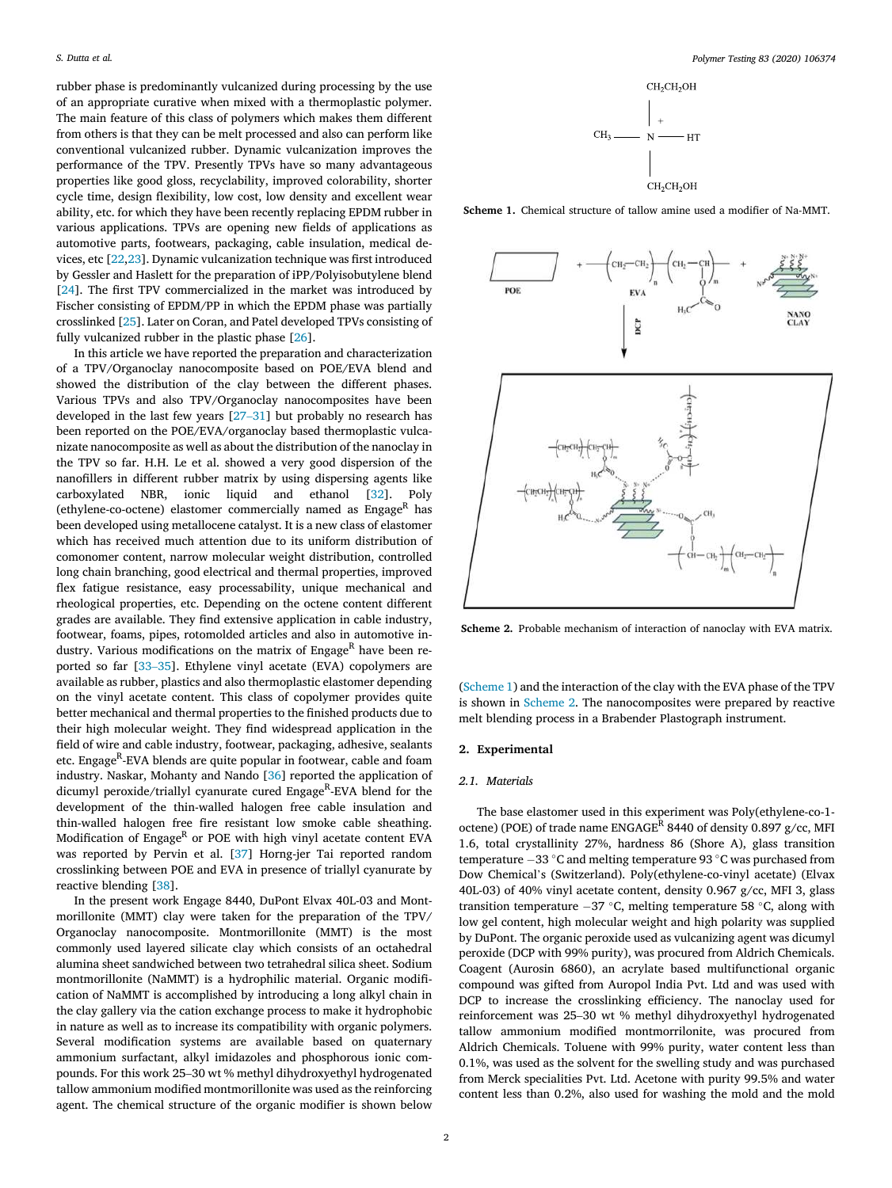rubber phase is predominantly vulcanized during processing by the use of an appropriate curative when mixed with a thermoplastic polymer. The main feature of this class of polymers which makes them different from others is that they can be melt processed and also can perform like conventional vulcanized rubber. Dynamic vulcanization improves the performance of the TPV. Presently TPVs have so many advantageous properties like good gloss, recyclability, improved colorability, shorter cycle time, design flexibility, low cost, low density and excellent wear ability, etc. for which they have been recently replacing EPDM rubber in various applications. TPVs are opening new fields of applications as automotive parts, footwears, packaging, cable insulation, medical devices, etc [\[22,23](#page-10-0)]. Dynamic vulcanization technique was first introduced by Gessler and Haslett for the preparation of iPP/Polyisobutylene blend [[24\]](#page-10-0). The first TPV commercialized in the market was introduced by Fischer consisting of EPDM/PP in which the EPDM phase was partially crosslinked [\[25](#page-10-0)]. Later on Coran, and Patel developed TPVs consisting of fully vulcanized rubber in the plastic phase [\[26](#page-10-0)].

In this article we have reported the preparation and characterization of a TPV/Organoclay nanocomposite based on POE/EVA blend and showed the distribution of the clay between the different phases. Various TPVs and also TPV/Organoclay nanocomposites have been developed in the last few years [27–[31\]](#page-10-0) but probably no research has been reported on the POE/EVA/organoclay based thermoplastic vulcanizate nanocomposite as well as about the distribution of the nanoclay in the TPV so far. H.H. Le et al. showed a very good dispersion of the nanofillers in different rubber matrix by using dispersing agents like carboxylated NBR, ionic liquid and ethanol [[32\]](#page-10-0). Poly (ethylene-co-octene) elastomer commercially named as  $Engage<sup>R</sup>$  has been developed using metallocene catalyst. It is a new class of elastomer which has received much attention due to its uniform distribution of comonomer content, narrow molecular weight distribution, controlled long chain branching, good electrical and thermal properties, improved flex fatigue resistance, easy processability, unique mechanical and rheological properties, etc. Depending on the octene content different grades are available. They find extensive application in cable industry, footwear, foams, pipes, rotomolded articles and also in automotive industry. Various modifications on the matrix of  $Engage<sup>R</sup>$  have been reported so far [\[33](#page-10-0)–35]. Ethylene vinyl acetate (EVA) copolymers are available as rubber, plastics and also thermoplastic elastomer depending on the vinyl acetate content. This class of copolymer provides quite better mechanical and thermal properties to the finished products due to their high molecular weight. They find widespread application in the field of wire and cable industry, footwear, packaging, adhesive, sealants etc. Engage<sup>R</sup>-EVA blends are quite popular in footwear, cable and foam industry. Naskar, Mohanty and Nando [[36\]](#page-10-0) reported the application of dicumyl peroxide/triallyl cyanurate cured Engage<sup>R</sup>-EVA blend for the development of the thin-walled halogen free cable insulation and thin-walled halogen free fire resistant low smoke cable sheathing. Modification of Engage<sup>R</sup> or POE with high vinyl acetate content EVA was reported by Pervin et al. [[37\]](#page-10-0) Horng-jer Tai reported random crosslinking between POE and EVA in presence of triallyl cyanurate by reactive blending [[38\]](#page-10-0).

In the present work Engage 8440, DuPont Elvax 40L-03 and Montmorillonite (MMT) clay were taken for the preparation of the TPV/ Organoclay nanocomposite. Montmorillonite (MMT) is the most commonly used layered silicate clay which consists of an octahedral alumina sheet sandwiched between two tetrahedral silica sheet. Sodium montmorillonite (NaMMT) is a hydrophilic material. Organic modification of NaMMT is accomplished by introducing a long alkyl chain in the clay gallery via the cation exchange process to make it hydrophobic in nature as well as to increase its compatibility with organic polymers. Several modification systems are available based on quaternary ammonium surfactant, alkyl imidazoles and phosphorous ionic compounds. For this work 25–30 wt % methyl dihydroxyethyl hydrogenated tallow ammonium modified montmorillonite was used as the reinforcing agent. The chemical structure of the organic modifier is shown below



**Scheme 1.** Chemical structure of tallow amine used a modifier of Na-MMT.



**Scheme 2.** Probable mechanism of interaction of nanoclay with EVA matrix.

(Scheme 1) and the interaction of the clay with the EVA phase of the TPV is shown in Scheme 2. The nanocomposites were prepared by reactive melt blending process in a Brabender Plastograph instrument.

# **2. Experimental**

## *2.1. Materials*

The base elastomer used in this experiment was Poly(ethylene-co-1 octene) (POE) of trade name  $ENGAGE^R$  8440 of density 0.897 g/cc, MFI 1.6, total crystallinity 27%, hardness 86 (Shore A), glass transition temperature  $-33$   $^{\circ}$ C and melting temperature 93  $^{\circ}$ C was purchased from Dow Chemical's (Switzerland). Poly(ethylene-co-vinyl acetate) (Elvax 40L-03) of 40% vinyl acetate content, density 0.967 g/cc, MFI 3, glass transition temperature  $-37$  °C, melting temperature 58 °C, along with low gel content, high molecular weight and high polarity was supplied by DuPont. The organic peroxide used as vulcanizing agent was dicumyl peroxide (DCP with 99% purity), was procured from Aldrich Chemicals. Coagent (Aurosin 6860), an acrylate based multifunctional organic compound was gifted from Auropol India Pvt. Ltd and was used with DCP to increase the crosslinking efficiency. The nanoclay used for reinforcement was 25–30 wt % methyl dihydroxyethyl hydrogenated tallow ammonium modified montmorrilonite, was procured from Aldrich Chemicals. Toluene with 99% purity, water content less than 0.1%, was used as the solvent for the swelling study and was purchased from Merck specialities Pvt. Ltd. Acetone with purity 99.5% and water content less than 0.2%, also used for washing the mold and the mold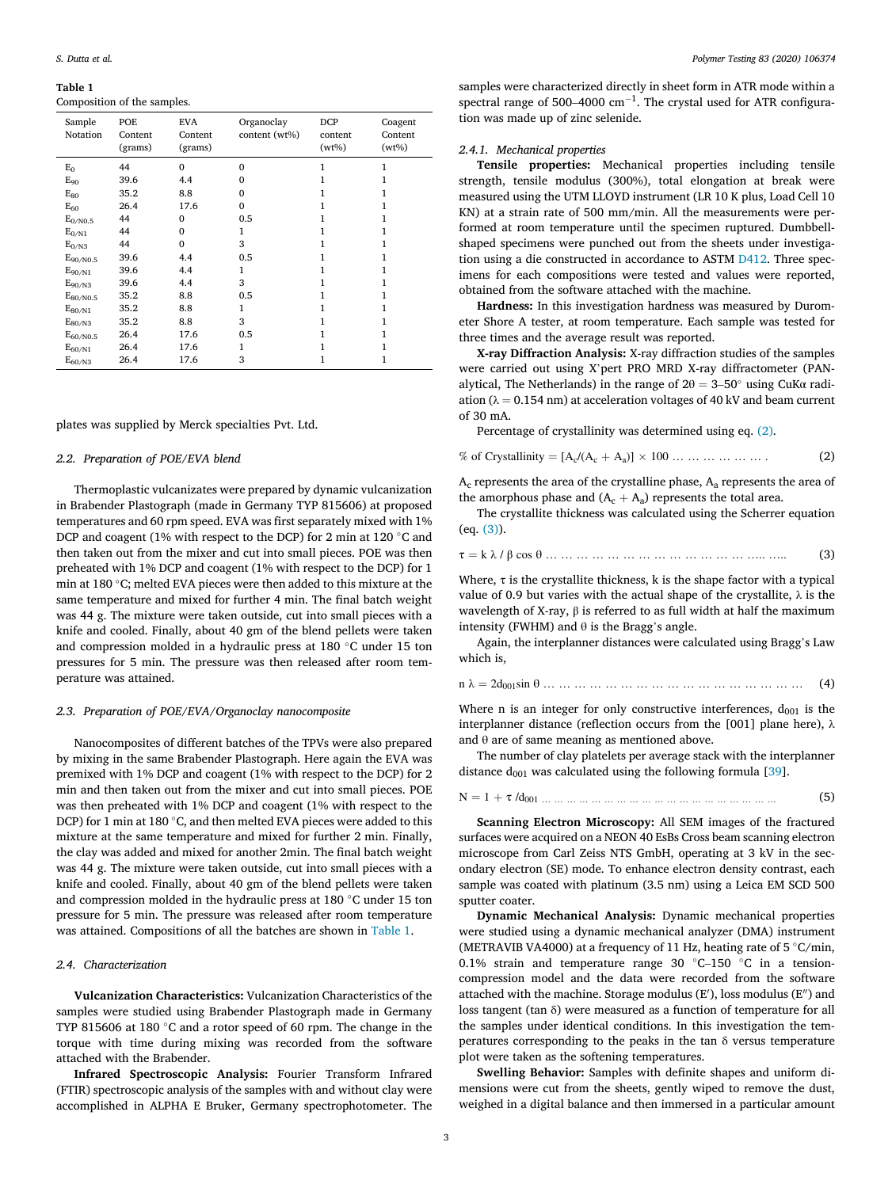## **Table 1**

Composition of the samples.

| Sample<br>Notation            | POE<br>Content<br>(grams) | <b>EVA</b><br>Content<br>(grams) | Organoclay<br>content (wt%) | <b>DCP</b><br>content<br>$(wt\%)$ | Coagent<br>Content<br>$(wt\%)$ |
|-------------------------------|---------------------------|----------------------------------|-----------------------------|-----------------------------------|--------------------------------|
| $E_0$                         | 44                        | $\Omega$                         | $\Omega$                    | 1                                 | 1                              |
| $E_{90}$                      | 39.6                      | 4.4                              | $\Omega$                    |                                   |                                |
| $E_{80}$                      | 35.2                      | 8.8                              | $\Omega$                    |                                   |                                |
| $E_{60}$                      | 26.4                      | 17.6                             | $\Omega$                    |                                   |                                |
| $E_{0/N0.5}$                  | 44                        | $\Omega$                         | 0.5                         |                                   |                                |
| $E_{0/N1}$                    | 44                        | $\Omega$                         | 1                           |                                   |                                |
| $E_{0/N3}$                    | 44                        | $\Omega$                         | 3                           | 1                                 | 1                              |
| $E_{90/N0.5}$                 | 39.6                      | 4.4                              | 0.5                         |                                   |                                |
| $E_{90/N1}$                   | 39.6                      | 4.4                              | 1                           |                                   |                                |
| $E_{90/N3}$                   | 39.6                      | 4.4                              | 3                           |                                   |                                |
| $E_{80/N0.5}$                 | 35.2                      | 8.8                              | 0.5                         |                                   |                                |
| $E_{80/N1}$                   | 35.2                      | 8.8                              | 1                           |                                   |                                |
| $E_{80/N3}$                   | 35.2                      | 8.8                              | 3                           |                                   |                                |
| $E_{60/N0.5}$                 | 26.4                      | 17.6                             | 0.5                         |                                   |                                |
| $\mathrm{E}_{60/\mathrm{N1}}$ | 26.4                      | 17.6                             | 1                           |                                   |                                |
| $\mathrm{E}_{60/\mathrm{N3}}$ | 26.4                      | 17.6                             | 3                           |                                   |                                |

plates was supplied by Merck specialties Pvt. Ltd.

## *2.2. Preparation of POE/EVA blend*

Thermoplastic vulcanizates were prepared by dynamic vulcanization in Brabender Plastograph (made in Germany TYP 815606) at proposed temperatures and 60 rpm speed. EVA was first separately mixed with 1% DCP and coagent (1% with respect to the DCP) for 2 min at 120 °C and then taken out from the mixer and cut into small pieces. POE was then preheated with 1% DCP and coagent (1% with respect to the DCP) for 1 min at 180 �C; melted EVA pieces were then added to this mixture at the same temperature and mixed for further 4 min. The final batch weight was 44 g. The mixture were taken outside, cut into small pieces with a knife and cooled. Finally, about 40 gm of the blend pellets were taken and compression molded in a hydraulic press at 180 °C under 15 ton pressures for 5 min. The pressure was then released after room temperature was attained.

#### *2.3. Preparation of POE/EVA/Organoclay nanocomposite*

Nanocomposites of different batches of the TPVs were also prepared by mixing in the same Brabender Plastograph. Here again the EVA was premixed with 1% DCP and coagent (1% with respect to the DCP) for 2 min and then taken out from the mixer and cut into small pieces. POE was then preheated with 1% DCP and coagent (1% with respect to the DCP) for 1 min at 180 °C, and then melted EVA pieces were added to this mixture at the same temperature and mixed for further 2 min. Finally, the clay was added and mixed for another 2min. The final batch weight was 44 g. The mixture were taken outside, cut into small pieces with a knife and cooled. Finally, about 40 gm of the blend pellets were taken and compression molded in the hydraulic press at 180  $^\circ \text{C}$  under 15 ton pressure for 5 min. The pressure was released after room temperature was attained. Compositions of all the batches are shown in Table 1.

#### *2.4. Characterization*

**Vulcanization Characteristics:** Vulcanization Characteristics of the samples were studied using Brabender Plastograph made in Germany TYP 815606 at 180 °C and a rotor speed of 60 rpm. The change in the torque with time during mixing was recorded from the software attached with the Brabender.

**Infrared Spectroscopic Analysis:** Fourier Transform Infrared (FTIR) spectroscopic analysis of the samples with and without clay were accomplished in ALPHA E Bruker, Germany spectrophotometer. The

samples were characterized directly in sheet form in ATR mode within a spectral range of 500–4000  $\text{cm}^{-1}$ . The crystal used for ATR configuration was made up of zinc selenide.

#### *2.4.1. Mechanical properties*

**Tensile properties:** Mechanical properties including tensile strength, tensile modulus (300%), total elongation at break were measured using the UTM LLOYD instrument (LR 10 K plus, Load Cell 10 KN) at a strain rate of 500 mm/min. All the measurements were performed at room temperature until the specimen ruptured. Dumbbellshaped specimens were punched out from the sheets under investigation using a die constructed in accordance to ASTM [D412](astm:D412). Three specimens for each compositions were tested and values were reported, obtained from the software attached with the machine.

**Hardness:** In this investigation hardness was measured by Durometer Shore A tester, at room temperature. Each sample was tested for three times and the average result was reported.

**X-ray Diffraction Analysis:** X-ray diffraction studies of the samples were carried out using X'pert PRO MRD X-ray diffractometer (PANalytical, The Netherlands) in the range of  $2\theta = 3-50^\circ$  using CuK $\alpha$  radiation ( $\lambda = 0.154$  nm) at acceleration voltages of 40 kV and beam current of 30 mA.

Percentage of crystallinity was determined using eq. (2).

% of Crystalinity = 
$$
[A_c/(A_c + A_a)] \times 100 \ldots \ldots \ldots \ldots \ldots \ldots
$$
 (2)

 $A<sub>c</sub>$  represents the area of the crystalline phase,  $A<sub>a</sub>$  represents the area of the amorphous phase and  $(A_c + A_a)$  represents the total area.

The crystallite thickness was calculated using the Scherrer equation (eq. (3)).

$$
\tau = k \lambda / \beta \cos \theta \dots \dots \dots \dots \dots \dots \dots \dots \dots \dots \dots \dots \dots \dots \dots \tag{3}
$$

Where,  $\tau$  is the crystallite thickness, k is the shape factor with a typical value of 0.9 but varies with the actual shape of the crystallite,  $\lambda$  is the wavelength of X-ray, β is referred to as full width at half the maximum intensity (FWHM) and  $θ$  is the Bragg's angle.

Again, the interplanner distances were calculated using Bragg's Law which is,

 $n \lambda = 2d_{001} \sin \theta$  … … … … … … … … … … … … … … … … (4)

Where n is an integer for only constructive interferences,  $d_{001}$  is the interplanner distance (reflection occurs from the [001] plane here),  $\lambda$ and θ are of same meaning as mentioned above.

The number of clay platelets per average stack with the interplanner distance  $d_{001}$  was calculated using the following formula [\[39](#page-11-0)].

$$
N = 1 + \tau / d_{001} \dots \dots \dots \dots \dots \dots \dots \dots \dots \dots \dots \dots \dots \dots \dots \dots \tag{5}
$$

**Scanning Electron Microscopy:** All SEM images of the fractured surfaces were acquired on a NEON 40 EsBs Cross beam scanning electron microscope from Carl Zeiss NTS GmbH, operating at 3 kV in the secondary electron (SE) mode. To enhance electron density contrast, each sample was coated with platinum (3.5 nm) using a Leica EM SCD 500 sputter coater.

**Dynamic Mechanical Analysis:** Dynamic mechanical properties were studied using a dynamic mechanical analyzer (DMA) instrument (METRAVIB VA4000) at a frequency of 11 Hz, heating rate of  $5^{\circ}$ C/min, 0.1% strain and temperature range 30  $\degree$ C–150  $\degree$ C in a tensioncompression model and the data were recorded from the software attached with the machine. Storage modulus  $(E')$ , loss modulus  $(E'')$  and loss tangent (tan δ) were measured as a function of temperature for all the samples under identical conditions. In this investigation the temperatures corresponding to the peaks in the tan  $\delta$  versus temperature plot were taken as the softening temperatures.

**Swelling Behavior:** Samples with definite shapes and uniform dimensions were cut from the sheets, gently wiped to remove the dust, weighed in a digital balance and then immersed in a particular amount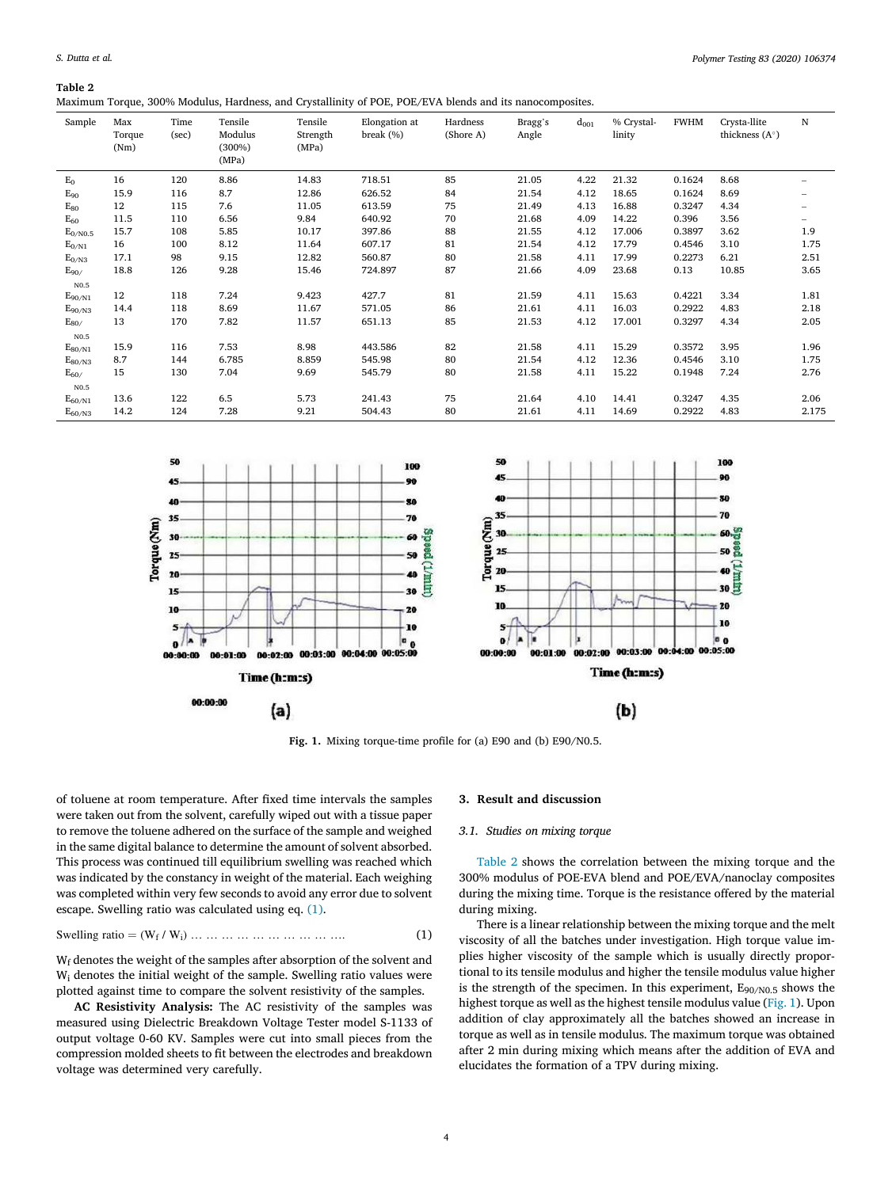<span id="page-3-0"></span>**Table 2** 

Maximum Torque, 300% Modulus, Hardness, and Crystallinity of POE, POE/EVA blends and its nanocomposites.

| Sample        | Max<br>Torque<br>(Nm) | Time<br>(sec) | Tensile<br>Modulus<br>$(300\%)$<br>(MPa) | Tensile<br>Strength<br>(MPa) | Elongation at<br>break $(\%)$ | Hardness<br>(Shore A) | Bragg's<br>Angle | $d_{001}$ | % Crystal-<br>linity | <b>FWHM</b> | Crysta-llite<br>thickness $(A^{\circ})$ | N                 |
|---------------|-----------------------|---------------|------------------------------------------|------------------------------|-------------------------------|-----------------------|------------------|-----------|----------------------|-------------|-----------------------------------------|-------------------|
| $E_0$         | 16                    | 120           | 8.86                                     | 14.83                        | 718.51                        | 85                    | 21.05            | 4.22      | 21.32                | 0.1624      | 8.68                                    |                   |
| $E_{90}$      | 15.9                  | 116           | 8.7                                      | 12.86                        | 626.52                        | 84                    | 21.54            | 4.12      | 18.65                | 0.1624      | 8.69                                    | $\qquad \qquad -$ |
| $E_{80}$      | 12                    | 115           | 7.6                                      | 11.05                        | 613.59                        | 75                    | 21.49            | 4.13      | 16.88                | 0.3247      | 4.34                                    | -                 |
| $E_{60}$      | 11.5                  | 110           | 6.56                                     | 9.84                         | 640.92                        | 70                    | 21.68            | 4.09      | 14.22                | 0.396       | 3.56                                    | $\qquad \qquad -$ |
| $E_{0/N0.5}$  | 15.7                  | 108           | 5.85                                     | 10.17                        | 397.86                        | 88                    | 21.55            | 4.12      | 17.006               | 0.3897      | 3.62                                    | 1.9               |
| $E_{0/N1}$    | 16                    | 100           | 8.12                                     | 11.64                        | 607.17                        | 81                    | 21.54            | 4.12      | 17.79                | 0.4546      | 3.10                                    | 1.75              |
| $E_{0/N3}$    | 17.1                  | 98            | 9.15                                     | 12.82                        | 560.87                        | 80                    | 21.58            | 4.11      | 17.99                | 0.2273      | 6.21                                    | 2.51              |
| $E_{90}$      | 18.8                  | 126           | 9.28                                     | 15.46                        | 724.897                       | 87                    | 21.66            | 4.09      | 23.68                | 0.13        | 10.85                                   | 3.65              |
| N0.5          |                       |               |                                          |                              |                               |                       |                  |           |                      |             |                                         |                   |
| $E_{90/N1}$   | 12                    | 118           | 7.24                                     | 9.423                        | 427.7                         | 81                    | 21.59            | 4.11      | 15.63                | 0.4221      | 3.34                                    | 1.81              |
| $E_{90/N3}$   | 14.4                  | 118           | 8.69                                     | 11.67                        | 571.05                        | 86                    | 21.61            | 4.11      | 16.03                | 0.2922      | 4.83                                    | 2.18              |
| $E_{80/}$     | 13                    | 170           | 7.82                                     | 11.57                        | 651.13                        | 85                    | 21.53            | 4.12      | 17.001               | 0.3297      | 4.34                                    | 2.05              |
| $_{\rm N0.5}$ |                       |               |                                          |                              |                               |                       |                  |           |                      |             |                                         |                   |
| $E_{80/N1}$   | 15.9                  | 116           | 7.53                                     | 8.98                         | 443.586                       | 82                    | 21.58            | 4.11      | 15.29                | 0.3572      | 3.95                                    | 1.96              |
| $E_{80/N3}$   | 8.7                   | 144           | 6.785                                    | 8.859                        | 545.98                        | 80                    | 21.54            | 4.12      | 12.36                | 0.4546      | 3.10                                    | 1.75              |
| $E_{60}$      | 15                    | 130           | 7.04                                     | 9.69                         | 545.79                        | 80                    | 21.58            | 4.11      | 15.22                | 0.1948      | 7.24                                    | 2.76              |
| N0.5          |                       |               |                                          |                              |                               |                       |                  |           |                      |             |                                         |                   |
| $E_{60/N1}$   | 13.6                  | 122           | 6.5                                      | 5.73                         | 241.43                        | 75                    | 21.64            | 4.10      | 14.41                | 0.3247      | 4.35                                    | 2.06              |
| $E_{60/N3}$   | 14.2                  | 124           | 7.28                                     | 9.21                         | 504.43                        | 80                    | 21.61            | 4.11      | 14.69                | 0.2922      | 4.83                                    | 2.175             |



**Fig. 1.** Mixing torque-time profile for (a) E90 and (b) E90/N0.5.

of toluene at room temperature. After fixed time intervals the samples were taken out from the solvent, carefully wiped out with a tissue paper to remove the toluene adhered on the surface of the sample and weighed in the same digital balance to determine the amount of solvent absorbed. This process was continued till equilibrium swelling was reached which was indicated by the constancy in weight of the material. Each weighing was completed within very few seconds to avoid any error due to solvent escape. Swelling ratio was calculated using eq. (1).

Swelling ratio = 
$$
(W_f / W_i) \dots \dots \dots \dots \dots \dots \dots \dots \dots
$$
 (1)

Wf denotes the weight of the samples after absorption of the solvent and Wi denotes the initial weight of the sample. Swelling ratio values were plotted against time to compare the solvent resistivity of the samples.

**AC Resistivity Analysis:** The AC resistivity of the samples was measured using Dielectric Breakdown Voltage Tester model S-1133 of output voltage 0-60 KV. Samples were cut into small pieces from the compression molded sheets to fit between the electrodes and breakdown voltage was determined very carefully.

#### **3. Result and discussion**

#### *3.1. Studies on mixing torque*

Table 2 shows the correlation between the mixing torque and the 300% modulus of POE-EVA blend and POE/EVA/nanoclay composites during the mixing time. Torque is the resistance offered by the material during mixing.

There is a linear relationship between the mixing torque and the melt viscosity of all the batches under investigation. High torque value implies higher viscosity of the sample which is usually directly proportional to its tensile modulus and higher the tensile modulus value higher is the strength of the specimen. In this experiment,  $E_{90/N0.5}$  shows the highest torque as well as the highest tensile modulus value (Fig. 1). Upon addition of clay approximately all the batches showed an increase in torque as well as in tensile modulus. The maximum torque was obtained after 2 min during mixing which means after the addition of EVA and elucidates the formation of a TPV during mixing.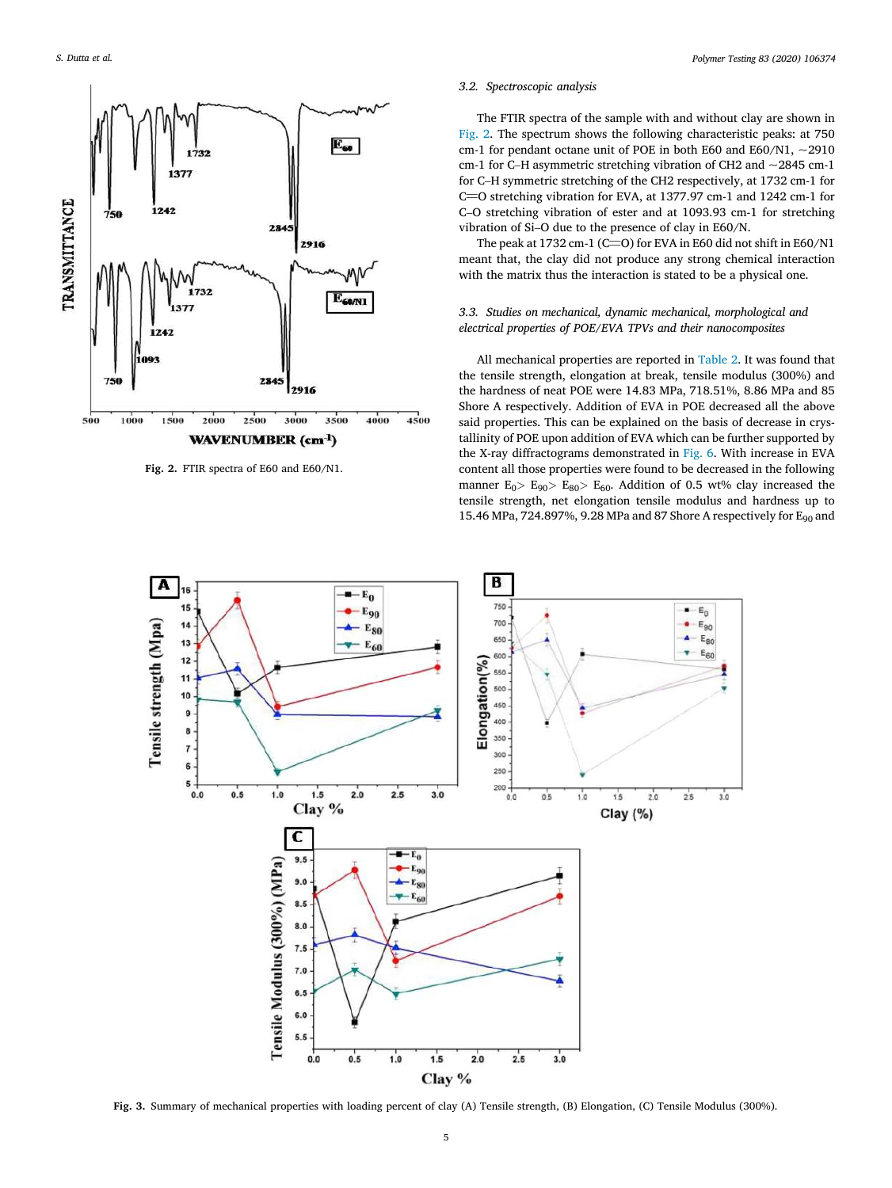<span id="page-4-0"></span>

**Fig. 2.** FTIR spectra of E60 and E60/N1.

## *3.2. Spectroscopic analysis*

The FTIR spectra of the sample with and without clay are shown in Fig. 2. The spectrum shows the following characteristic peaks: at 750 cm-1 for pendant octane unit of POE in both E60 and E60/N1,  $\sim$ 2910 cm-1 for C–H asymmetric stretching vibration of CH2 and ~2845 cm-1 for C–H symmetric stretching of the CH2 respectively, at 1732 cm-1 for for C–n symmetric stretching of the CH2 respectively, at 1752 cm-1 for C=O stretching vibration for EVA, at 1377.97 cm-1 and 1242 cm-1 for C–O stretching vibration of ester and at 1093.93 cm-1 for stretching vibration of Si–O due to the presence of clay in E60/N.

ration or  $\sin^2 2\theta$  due to the presence or Clay in E00/N.<br>The peak at 1732 cm-1 (C=O) for EVA in E60 did not shift in E60/N1 meant that, the clay did not produce any strong chemical interaction with the matrix thus the interaction is stated to be a physical one.

## *3.3. Studies on mechanical, dynamic mechanical, morphological and electrical properties of POE/EVA TPVs and their nanocomposites*

All mechanical properties are reported in [Table 2.](#page-3-0) It was found that the tensile strength, elongation at break, tensile modulus (300%) and the hardness of neat POE were 14.83 MPa, 718.51%, 8.86 MPa and 85 Shore A respectively. Addition of EVA in POE decreased all the above said properties. This can be explained on the basis of decrease in crystallinity of POE upon addition of EVA which can be further supported by the X-ray diffractograms demonstrated in [Fig. 6.](#page-6-0) With increase in EVA content all those properties were found to be decreased in the following manner  $E_0$ *>*  $E_{90}$ *>*  $E_{80}$ *>*  $E_{60}$ *.* Addition of 0.5 wt% clay increased the tensile strength, net elongation tensile modulus and hardness up to 15.46 MPa, 724.897%, 9.28 MPa and 87 Shore A respectively for E<sub>90</sub> and



**Fig. 3.** Summary of mechanical properties with loading percent of clay (A) Tensile strength, (B) Elongation, (C) Tensile Modulus (300%).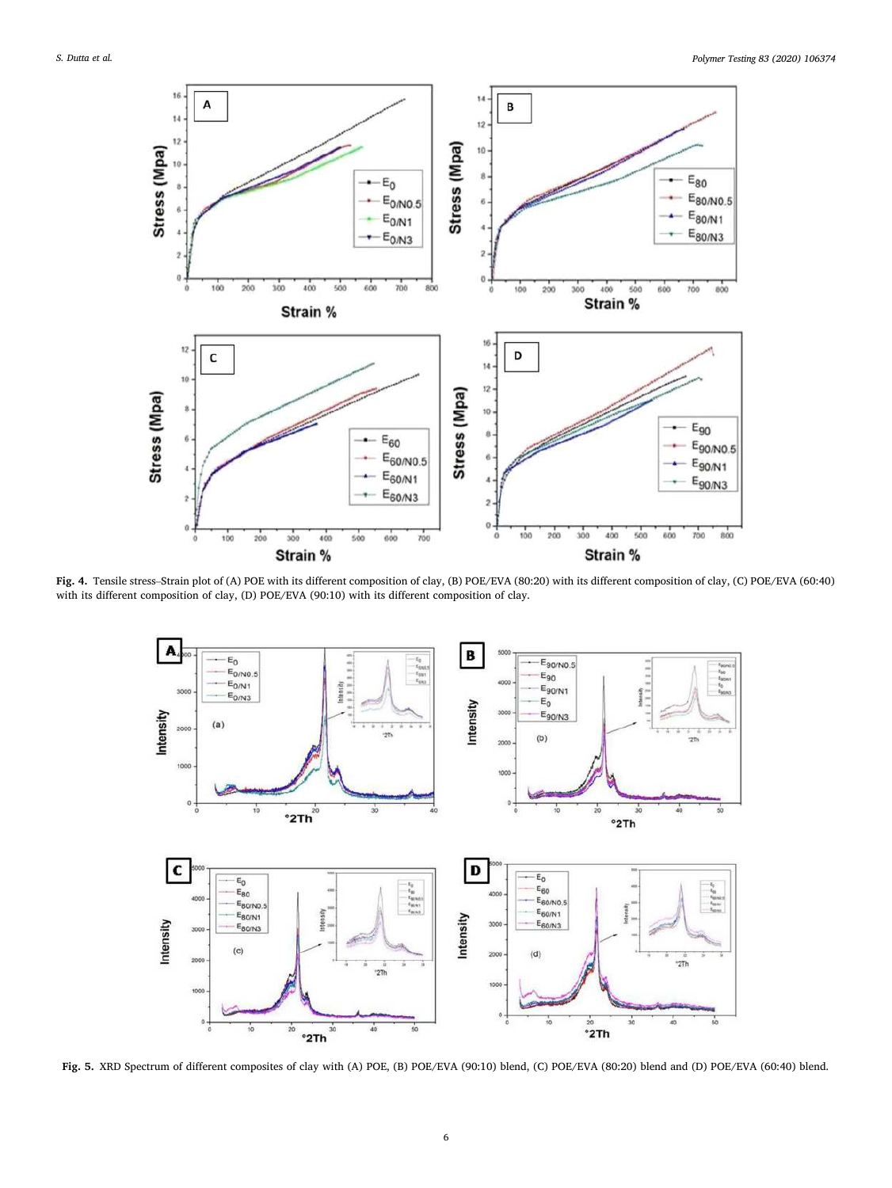<span id="page-5-0"></span>

**Fig. 4.** Tensile stress–Strain plot of (A) POE with its different composition of clay, (B) POE/EVA (80:20) with its different composition of clay, (C) POE/EVA (60:40) with its different composition of clay, (D) POE/EVA (90:10) with its different composition of clay.



**Fig. 5.** XRD Spectrum of different composites of clay with (A) POE, (B) POE/EVA (90:10) blend, (C) POE/EVA (80:20) blend and (D) POE/EVA (60:40) blend.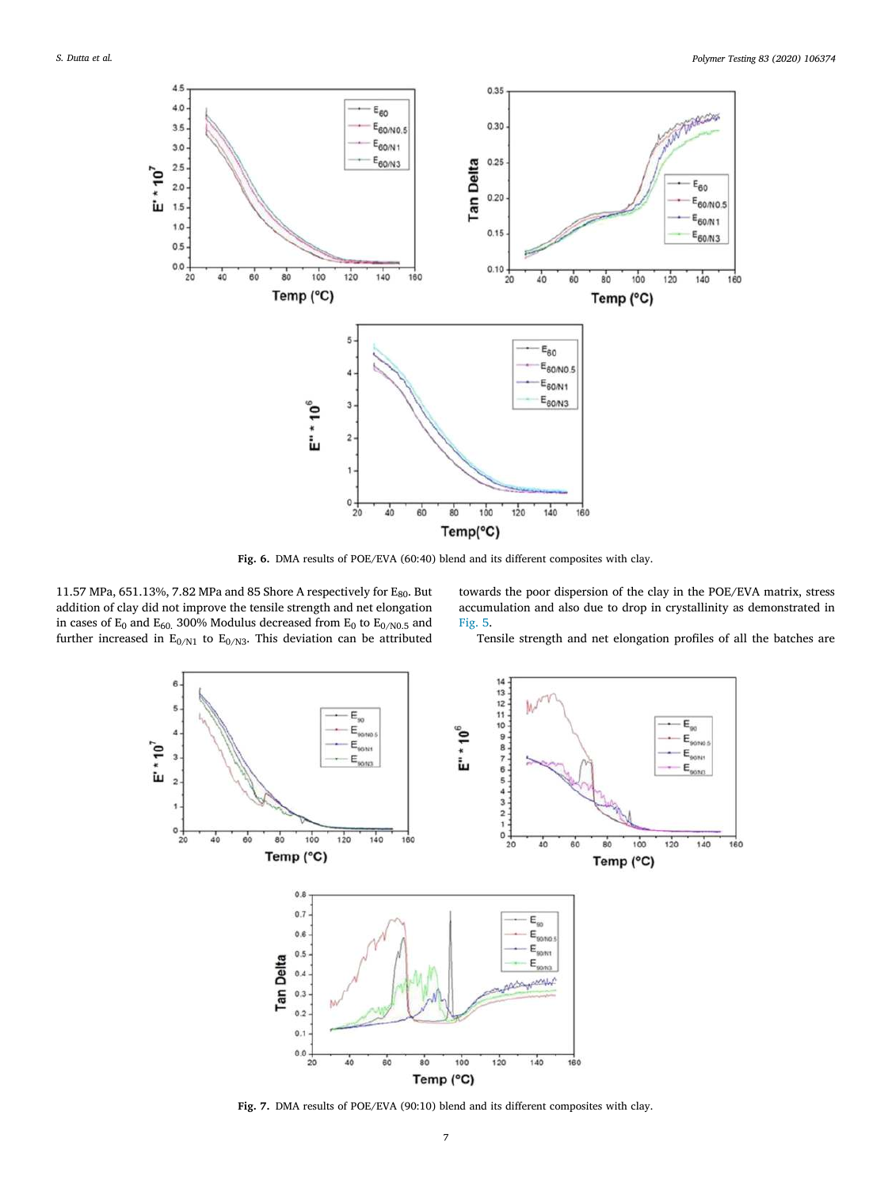<span id="page-6-0"></span>

**Fig. 6.** DMA results of POE/EVA (60:40) blend and its different composites with clay.

11.57 MPa, 651.13%, 7.82 MPa and 85 Shore A respectively for  $E_{80}$ . But addition of clay did not improve the tensile strength and net elongation in cases of E<sub>0</sub> and E<sub>60.</sub> 300% Modulus decreased from E<sub>0</sub> to E<sub>0/N0.5</sub> and further increased in  $E_{0/N1}$  to  $E_{0/N3}$ . This deviation can be attributed towards the poor dispersion of the clay in the POE/EVA matrix, stress accumulation and also due to drop in crystallinity as demonstrated in [Fig. 5.](#page-5-0)

Tensile strength and net elongation profiles of all the batches are



Fig. 7. DMA results of POE/EVA (90:10) blend and its different composites with clay.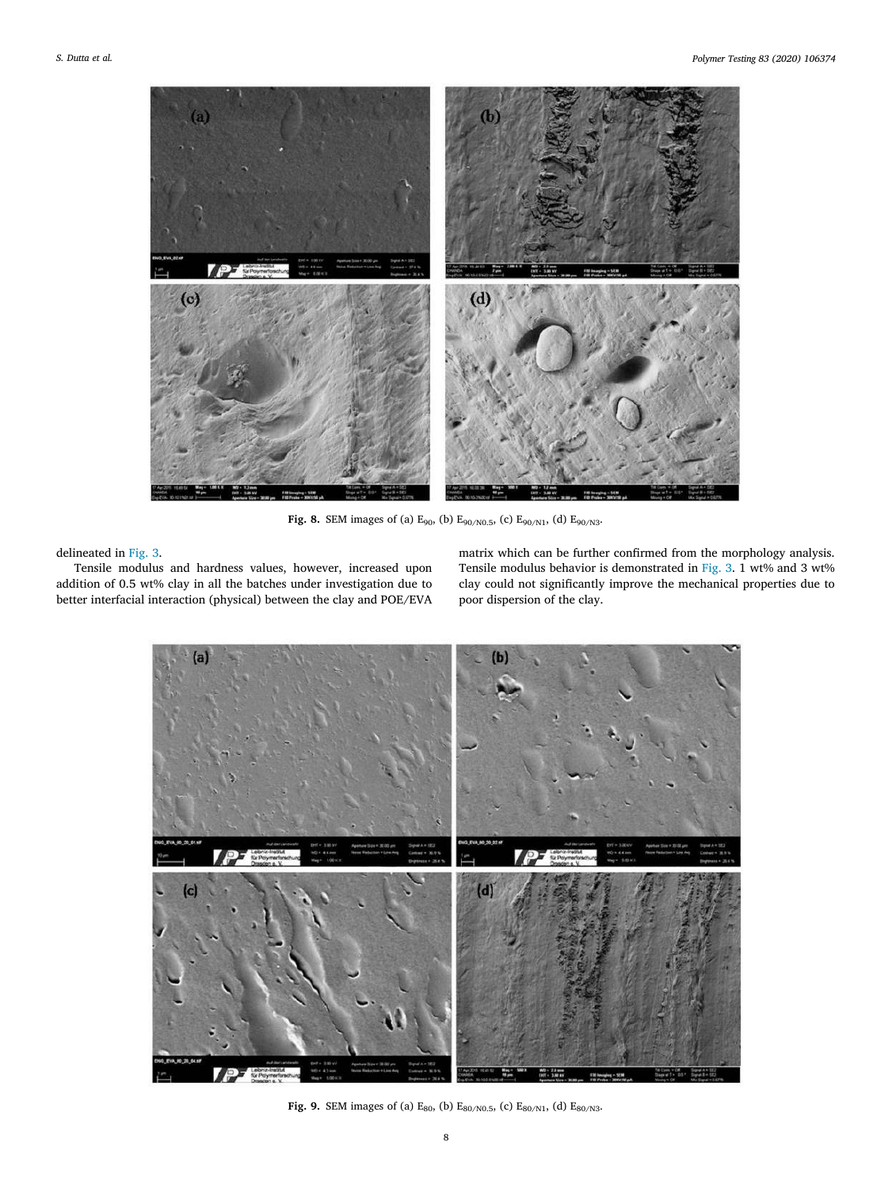<span id="page-7-0"></span>

**Fig. 8.** SEM images of (a)  $E_{90}$ , (b)  $E_{90/N0.5}$ , (c)  $E_{90/N1}$ , (d)  $E_{90/N3}$ .

## delineated in [Fig. 3](#page-4-0).

Tensile modulus and hardness values, however, increased upon addition of 0.5 wt% clay in all the batches under investigation due to better interfacial interaction (physical) between the clay and POE/EVA matrix which can be further confirmed from the morphology analysis. Tensile modulus behavior is demonstrated in [Fig. 3](#page-4-0). 1 wt% and 3 wt% clay could not significantly improve the mechanical properties due to poor dispersion of the clay.



**Fig. 9.** SEM images of (a)  $E_{80}$ , (b)  $E_{80/N0.5}$ , (c)  $E_{80/N1}$ , (d)  $E_{80/N3}$ .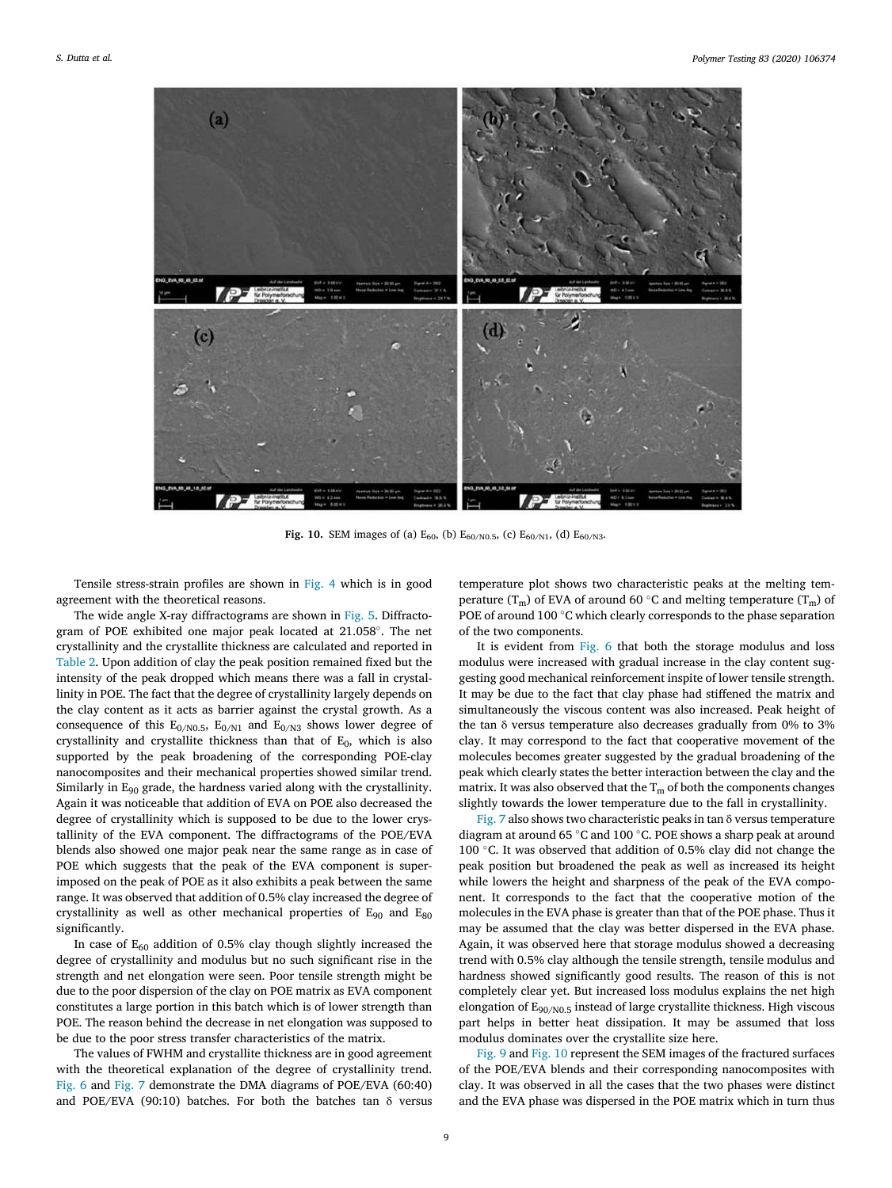<span id="page-8-0"></span>

**Fig. 10.** SEM images of (a)  $E_{60}$ , (b)  $E_{60/N0.5}$ , (c)  $E_{60/N1}$ , (d)  $E_{60/N3}$ .

Tensile stress-strain profiles are shown in [Fig. 4](#page-5-0) which is in good agreement with the theoretical reasons.

The wide angle X-ray diffractograms are shown in [Fig. 5](#page-5-0). Diffractogram of POE exhibited one major peak located at 21.058°. The net crystallinity and the crystallite thickness are calculated and reported in [Table 2.](#page-3-0) Upon addition of clay the peak position remained fixed but the intensity of the peak dropped which means there was a fall in crystallinity in POE. The fact that the degree of crystallinity largely depends on the clay content as it acts as barrier against the crystal growth. As a consequence of this  $E_{0/N0.5}$ ,  $E_{0/N1}$  and  $E_{0/N3}$  shows lower degree of crystallinity and crystallite thickness than that of  $E_0$ , which is also supported by the peak broadening of the corresponding POE-clay nanocomposites and their mechanical properties showed similar trend. Similarly in  $E_{90}$  grade, the hardness varied along with the crystallinity. Again it was noticeable that addition of EVA on POE also decreased the degree of crystallinity which is supposed to be due to the lower crystallinity of the EVA component. The diffractograms of the POE/EVA blends also showed one major peak near the same range as in case of POE which suggests that the peak of the EVA component is superimposed on the peak of POE as it also exhibits a peak between the same range. It was observed that addition of 0.5% clay increased the degree of crystallinity as well as other mechanical properties of  $E_{90}$  and  $E_{80}$ significantly.

In case of  $E_{60}$  addition of 0.5% clay though slightly increased the degree of crystallinity and modulus but no such significant rise in the strength and net elongation were seen. Poor tensile strength might be due to the poor dispersion of the clay on POE matrix as EVA component constitutes a large portion in this batch which is of lower strength than POE. The reason behind the decrease in net elongation was supposed to be due to the poor stress transfer characteristics of the matrix.

The values of FWHM and crystallite thickness are in good agreement with the theoretical explanation of the degree of crystallinity trend. [Fig. 6](#page-6-0) and [Fig. 7](#page-6-0) demonstrate the DMA diagrams of POE/EVA (60:40) and POE/EVA (90:10) batches. For both the batches tan  $\delta$  versus

temperature plot shows two characteristic peaks at the melting temperature  $(T_m)$  of EVA of around 60 °C and melting temperature  $(T_m)$  of POE of around 100 °C which clearly corresponds to the phase separation of the two components.

It is evident from [Fig. 6](#page-6-0) that both the storage modulus and loss modulus were increased with gradual increase in the clay content suggesting good mechanical reinforcement inspite of lower tensile strength. It may be due to the fact that clay phase had stiffened the matrix and simultaneously the viscous content was also increased. Peak height of the tan δ versus temperature also decreases gradually from 0% to 3% clay. It may correspond to the fact that cooperative movement of the molecules becomes greater suggested by the gradual broadening of the peak which clearly states the better interaction between the clay and the matrix. It was also observed that the  $T_m$  of both the components changes slightly towards the lower temperature due to the fall in crystallinity.

[Fig. 7](#page-6-0) also shows two characteristic peaks in tan δ versus temperature diagram at around 65 °C and 100 °C. POE shows a sharp peak at around 100 °C. It was observed that addition of 0.5% clay did not change the peak position but broadened the peak as well as increased its height while lowers the height and sharpness of the peak of the EVA component. It corresponds to the fact that the cooperative motion of the molecules in the EVA phase is greater than that of the POE phase. Thus it may be assumed that the clay was better dispersed in the EVA phase. Again, it was observed here that storage modulus showed a decreasing trend with 0.5% clay although the tensile strength, tensile modulus and hardness showed significantly good results. The reason of this is not completely clear yet. But increased loss modulus explains the net high elongation of E90/N0.5 instead of large crystallite thickness. High viscous part helps in better heat dissipation. It may be assumed that loss modulus dominates over the crystallite size here.

[Fig. 9](#page-7-0) and Fig. 10 represent the SEM images of the fractured surfaces of the POE/EVA blends and their corresponding nanocomposites with clay. It was observed in all the cases that the two phases were distinct and the EVA phase was dispersed in the POE matrix which in turn thus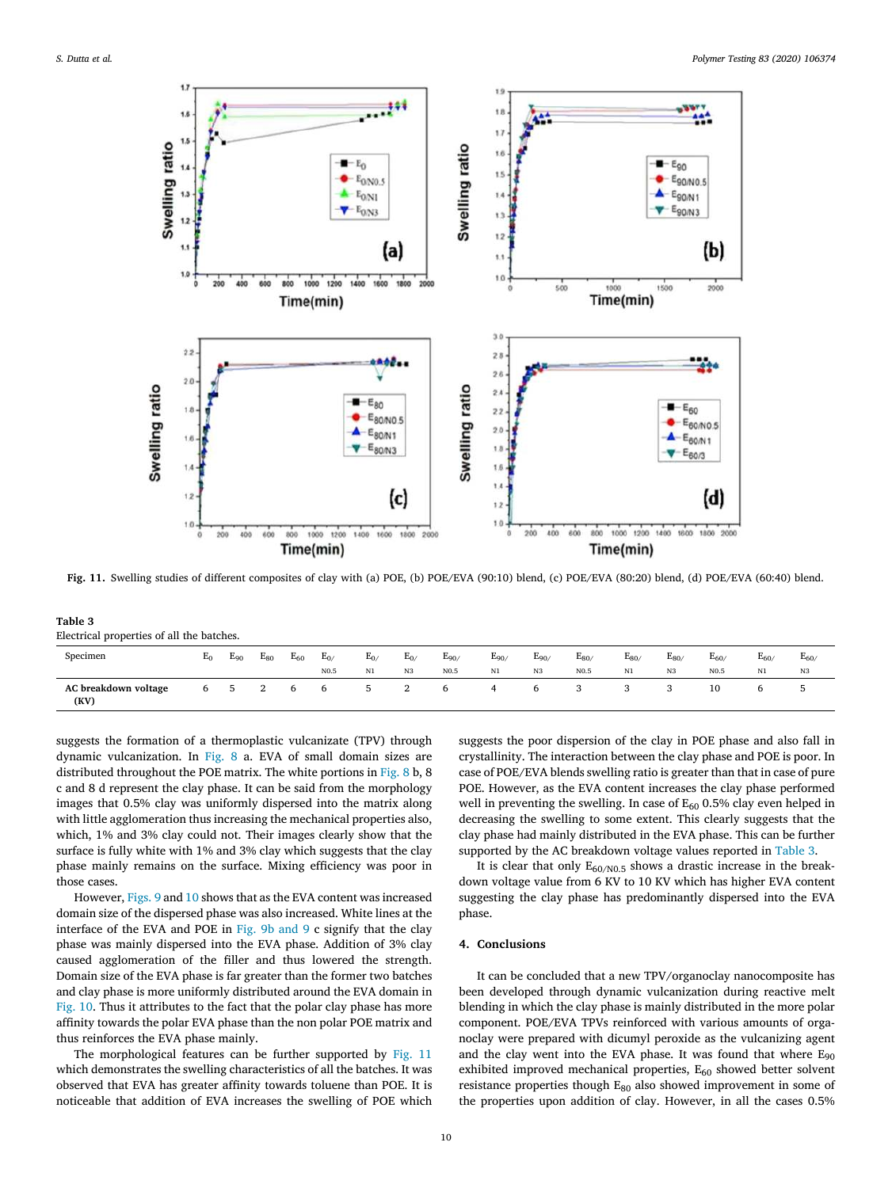

**Fig. 11.** Swelling studies of different composites of clay with (a) POE, (b) POE/EVA (90:10) blend, (c) POE/EVA (80:20) blend, (d) POE/EVA (60:40) blend.

| Table 3 |                                           |  |
|---------|-------------------------------------------|--|
|         | Electrical properties of all the batches. |  |

| Specimen                     | $E_0$ | $E_{90}$ | $E_{80}$ | $E_{60}$     | $E_{0/}$         | $E_{0/}$ | $E_{0/}$ | $E_{90/}$        | $E_{90/}$ | $E_{90/}$ | $E_{80/}$        | $E_{80/}$ | $E_{80/}$ | $E_{60/}$        | $E_{60/}$ | $E_{60}$ |
|------------------------------|-------|----------|----------|--------------|------------------|----------|----------|------------------|-----------|-----------|------------------|-----------|-----------|------------------|-----------|----------|
|                              |       |          |          |              | N <sub>0.5</sub> | N1       | N3       | N <sub>0.5</sub> | N1        | N3        | N <sub>0.5</sub> | N1        | N3        | N <sub>0.5</sub> | N1        | N3       |
| AC breakdown voltage<br>(KV) | 6     | 5        | 2        | <sub>t</sub> | 6                | 5.       | 2        | b                | 4         | 6         | 3                |           |           | 10               |           |          |

suggests the formation of a thermoplastic vulcanizate (TPV) through dynamic vulcanization. In [Fig. 8](#page-7-0) a. EVA of small domain sizes are distributed throughout the POE matrix. The white portions in [Fig. 8](#page-7-0) b, 8 c and 8 d represent the clay phase. It can be said from the morphology images that 0.5% clay was uniformly dispersed into the matrix along with little agglomeration thus increasing the mechanical properties also, which, 1% and 3% clay could not. Their images clearly show that the surface is fully white with 1% and 3% clay which suggests that the clay phase mainly remains on the surface. Mixing efficiency was poor in those cases.

However, [Figs. 9](#page-7-0) and [10](#page-8-0) shows that as the EVA content was increased domain size of the dispersed phase was also increased. White lines at the interface of the EVA and POE in [Fig. 9b and 9](#page-7-0) c signify that the clay phase was mainly dispersed into the EVA phase. Addition of 3% clay caused agglomeration of the filler and thus lowered the strength. Domain size of the EVA phase is far greater than the former two batches and clay phase is more uniformly distributed around the EVA domain in [Fig. 10.](#page-8-0) Thus it attributes to the fact that the polar clay phase has more affinity towards the polar EVA phase than the non polar POE matrix and thus reinforces the EVA phase mainly.

The morphological features can be further supported by Fig. 11 which demonstrates the swelling characteristics of all the batches. It was observed that EVA has greater affinity towards toluene than POE. It is noticeable that addition of EVA increases the swelling of POE which

suggests the poor dispersion of the clay in POE phase and also fall in crystallinity. The interaction between the clay phase and POE is poor. In case of POE/EVA blends swelling ratio is greater than that in case of pure POE. However, as the EVA content increases the clay phase performed well in preventing the swelling. In case of  $E_{60}$  0.5% clay even helped in decreasing the swelling to some extent. This clearly suggests that the clay phase had mainly distributed in the EVA phase. This can be further supported by the AC breakdown voltage values reported in Table 3.

It is clear that only  $E_{60/N0.5}$  shows a drastic increase in the breakdown voltage value from 6 KV to 10 KV which has higher EVA content suggesting the clay phase has predominantly dispersed into the EVA phase.

#### **4. Conclusions**

It can be concluded that a new TPV/organoclay nanocomposite has been developed through dynamic vulcanization during reactive melt blending in which the clay phase is mainly distributed in the more polar component. POE/EVA TPVs reinforced with various amounts of organoclay were prepared with dicumyl peroxide as the vulcanizing agent and the clay went into the EVA phase. It was found that where  $E_{90}$ exhibited improved mechanical properties, E<sub>60</sub> showed better solvent resistance properties though E<sub>80</sub> also showed improvement in some of the properties upon addition of clay. However, in all the cases 0.5%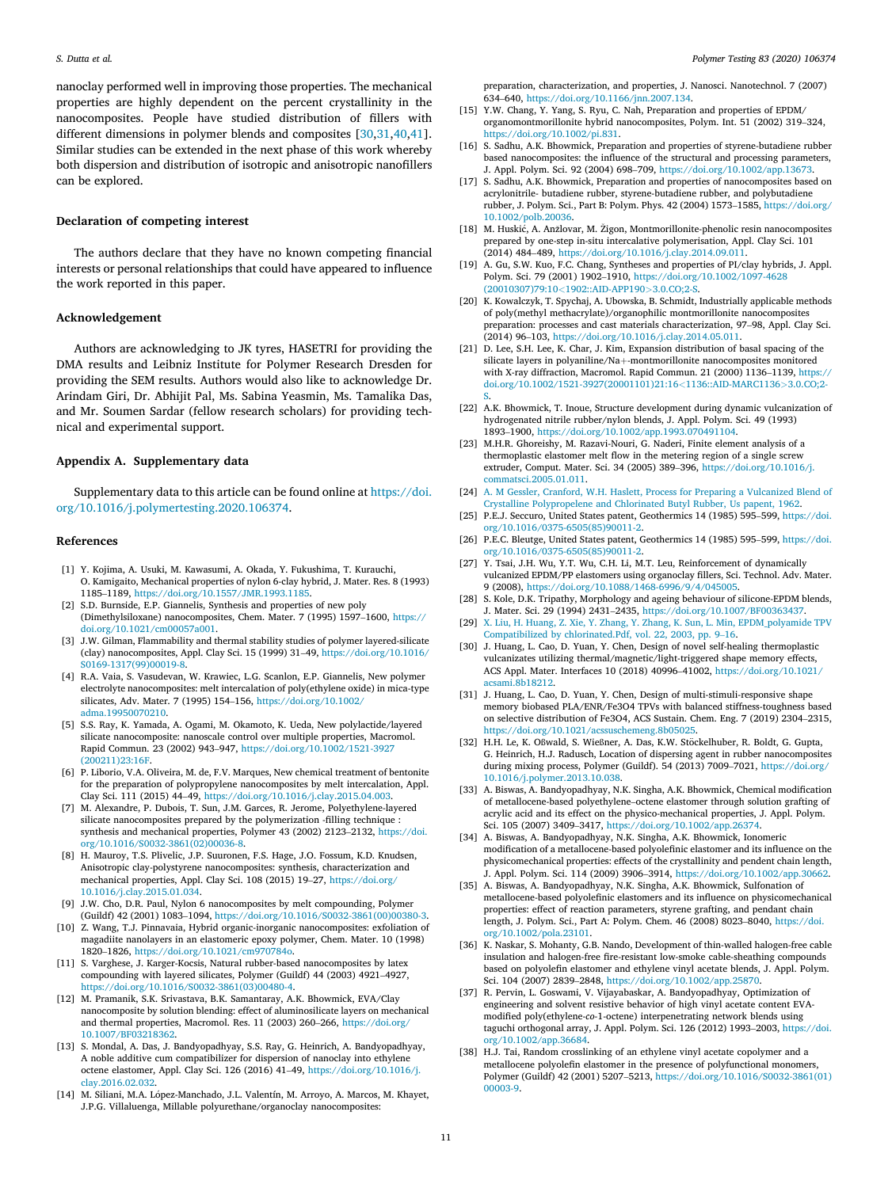<span id="page-10-0"></span>nanoclay performed well in improving those properties. The mechanical properties are highly dependent on the percent crystallinity in the nanocomposites. People have studied distribution of fillers with different dimensions in polymer blends and composites [30,31,[40,41](#page-11-0)]. Similar studies can be extended in the next phase of this work whereby both dispersion and distribution of isotropic and anisotropic nanofillers can be explored.

## **Declaration of competing interest**

The authors declare that they have no known competing financial interests or personal relationships that could have appeared to influence the work reported in this paper.

#### **Acknowledgement**

Authors are acknowledging to JK tyres, HASETRI for providing the DMA results and Leibniz Institute for Polymer Research Dresden for providing the SEM results. Authors would also like to acknowledge Dr. Arindam Giri, Dr. Abhijit Pal, Ms. Sabina Yeasmin, Ms. Tamalika Das, and Mr. Soumen Sardar (fellow research scholars) for providing technical and experimental support.

## **Appendix A. Supplementary data**

Supplementary data to this article can be found online at [https://doi.](https://doi.org/10.1016/j.polymertesting.2020.106374)  [org/10.1016/j.polymertesting.2020.106374.](https://doi.org/10.1016/j.polymertesting.2020.106374)

#### **References**

- [1] Y. Kojima, A. Usuki, M. Kawasumi, A. Okada, Y. Fukushima, T. Kurauchi, O. Kamigaito, Mechanical properties of nylon 6-clay hybrid, J. Mater. Res. 8 (1993) 1185–1189, [https://doi.org/10.1557/JMR.1993.1185.](https://doi.org/10.1557/JMR.1993.1185)
- [2] S.D. Burnside, E.P. Giannelis, Synthesis and properties of new poly (Dimethylsiloxane) nanocomposites, Chem. Mater. 7 (1995) 1597–1600, [https://](https://doi.org/10.1021/cm00057a001)  [doi.org/10.1021/cm00057a001.](https://doi.org/10.1021/cm00057a001)
- [3] J.W. Gilman, Flammability and thermal stability studies of polymer layered-silicate (clay) nanocomposites, Appl. Clay Sci. 15 (1999) 31–49, [https://doi.org/10.1016/](https://doi.org/10.1016/S0169-1317(99)00019-8)  [S0169-1317\(99\)00019-8.](https://doi.org/10.1016/S0169-1317(99)00019-8)
- [4] R.A. Vaia, S. Vasudevan, W. Krawiec, L.G. Scanlon, E.P. Giannelis, New polymer electrolyte nanocomposites: melt intercalation of poly(ethylene oxide) in mica-type silicates, Adv. Mater. 7 (1995) 154–156, [https://doi.org/10.1002/](https://doi.org/10.1002/adma.19950070210) [adma.19950070210.](https://doi.org/10.1002/adma.19950070210)
- [5] S.S. Ray, K. Yamada, A. Ogami, M. Okamoto, K. Ueda, New polylactide/layered silicate nanocomposite: nanoscale control over multiple properties, Macromol. Rapid Commun. 23 (2002) 943–947, [https://doi.org/10.1002/1521-3927](https://doi.org/10.1002/1521-3927(200211)23:16F)  [\(200211\)23:16F.](https://doi.org/10.1002/1521-3927(200211)23:16F)
- [6] P. Liborio, V.A. Oliveira, M. de, F.V. Marques, New chemical treatment of bentonite for the preparation of polypropylene nanocomposites by melt intercalation, Appl. Clay Sci. 111 (2015) 44–49, [https://doi.org/10.1016/j.clay.2015.04.003.](https://doi.org/10.1016/j.clay.2015.04.003)
- [7] M. Alexandre, P. Dubois, T. Sun, J.M. Garces, R. Jerome, Polyethylene-layered silicate nanocomposites prepared by the polymerization -filling technique : synthesis and mechanical properties, Polymer 43 (2002) 2123–2132, [https://doi.](https://doi.org/10.1016/S0032-3861(02)00036-8)  [org/10.1016/S0032-3861\(02\)00036-8](https://doi.org/10.1016/S0032-3861(02)00036-8).
- [8] H. Mauroy, T.S. Plivelic, J.P. Suuronen, F.S. Hage, J.O. Fossum, K.D. Knudsen, Anisotropic clay-polystyrene nanocomposites: synthesis, characterization and mechanical properties, Appl. Clay Sci. 108 (2015) 19–27, [https://doi.org/](https://doi.org/10.1016/j.clay.2015.01.034)  [10.1016/j.clay.2015.01.034](https://doi.org/10.1016/j.clay.2015.01.034).
- [9] J.W. Cho, D.R. Paul, Nylon 6 nanocomposites by melt compounding, Polymer (Guildf) 42 (2001) 1083–1094, [https://doi.org/10.1016/S0032-3861\(00\)00380-3.](https://doi.org/10.1016/S0032-3861(00)00380-3)
- [10] Z. Wang, T.J. Pinnavaia, Hybrid organic-inorganic nanocomposites: exfoliation of magadiite nanolayers in an elastomeric epoxy polymer, Chem. Mater. 10 (1998) 1820–1826, <https://doi.org/10.1021/cm970784o>.
- [11] S. Varghese, J. Karger-Kocsis, Natural rubber-based nanocomposites by latex compounding with layered silicates, Polymer (Guildf) 44 (2003) 4921–4927, [https://doi.org/10.1016/S0032-3861\(03\)00480-4.](https://doi.org/10.1016/S0032-3861(03)00480-4)
- [12] M. Pramanik, S.K. Srivastava, B.K. Samantaray, A.K. Bhowmick, EVA/Clay nanocomposite by solution blending: effect of aluminosilicate layers on mechanical and thermal properties, Macromol. Res. 11 (2003) 260–266, [https://doi.org/](https://doi.org/10.1007/BF03218362)  [10.1007/BF03218362.](https://doi.org/10.1007/BF03218362)
- [13] S. Mondal, A. Das, J. Bandyopadhyay, S.S. Ray, G. Heinrich, A. Bandyopadhyay, A noble additive cum compatibilizer for dispersion of nanoclay into ethylene octene elastomer, Appl. Clay Sci. 126 (2016) 41–49, [https://doi.org/10.1016/j.](https://doi.org/10.1016/j.clay.2016.02.032) [clay.2016.02.032](https://doi.org/10.1016/j.clay.2016.02.032).
- [14] M. Siliani, M.A. López-Manchado, J.L. Valentín, M. Arroyo, A. Marcos, M. Khayet, J.P.G. Villaluenga, Millable polyurethane/organoclay nanocomposites:

preparation, characterization, and properties, J. Nanosci. Nanotechnol. 7 (2007) 634–640, <https://doi.org/10.1166/jnn.2007.134>.

- [15] Y.W. Chang, Y. Yang, S. Ryu, C. Nah, Preparation and properties of EPDM/ organomontmorillonite hybrid nanocomposites, Polym. Int. 51 (2002) 319–324, [https://doi.org/10.1002/pi.831.](https://doi.org/10.1002/pi.831)
- [16] S. Sadhu, A.K. Bhowmick, Preparation and properties of styrene-butadiene rubber based nanocomposites: the influence of the structural and processing parameters, J. Appl. Polym. Sci. 92 (2004) 698–709, <https://doi.org/10.1002/app.13673>.
- [17] S. Sadhu, A.K. Bhowmick, Preparation and properties of nanocomposites based on acrylonitrile- butadiene rubber, styrene-butadiene rubber, and polybutadiene rubber, J. Polym. Sci., Part B: Polym. Phys. 42 (2004) 1573–1585, [https://doi.org/](https://doi.org/10.1002/polb.20036)  [10.1002/polb.20036.](https://doi.org/10.1002/polb.20036)
- [18] M. Huskić, A. Anžlovar, M. Žigon, Montmorillonite-phenolic resin nanocomposites prepared by one-step in-situ intercalative polymerisation, Appl. Clay Sci. 101 (2014) 484–489, [https://doi.org/10.1016/j.clay.2014.09.011.](https://doi.org/10.1016/j.clay.2014.09.011)
- [19] A. Gu, S.W. Kuo, F.C. Chang, Syntheses and properties of PI/clay hybrids, J. Appl. Polym. Sci. 79 (2001) 1902–1910, [https://doi.org/10.1002/1097-4628](https://doi.org/10.1002/1097-4628(20010307)79:10<1902::AID-APP190>3.0.CO;2-S)  (20010307)79:10*<*[1902::AID-APP190](https://doi.org/10.1002/1097-4628(20010307)79:10<1902::AID-APP190>3.0.CO;2-S)*>*3.0.CO;2-S.
- [20] K. Kowalczyk, T. Spychaj, A. Ubowska, B. Schmidt, Industrially applicable methods of poly(methyl methacrylate)/organophilic montmorillonite nanocomposites preparation: processes and cast materials characterization, 97–98, Appl. Clay Sci. (2014) 96–103,<https://doi.org/10.1016/j.clay.2014.05.011>.
- [21] D. Lee, S.H. Lee, K. Char, J. Kim, Expansion distribution of basal spacing of the silicate layers in polyaniline/Na+-montmorillonite nanocomposites monitored with X-ray diffraction, Macromol. Rapid Commun. 21 (2000) 1136–1139, [https://](https://doi.org/10.1002/1521-3927(20001101)21:16<1136::AID-MARC1136>3.0.CO;2-S)  [doi.org/10.1002/1521-3927\(20001101\)21:16](https://doi.org/10.1002/1521-3927(20001101)21:16<1136::AID-MARC1136>3.0.CO;2-S)*<*1136::AID-MARC1136*>*3.0.CO;2-
- [S](https://doi.org/10.1002/1521-3927(20001101)21:16<1136::AID-MARC1136>3.0.CO;2-S). [22] A.K. Bhowmick, T. Inoue, Structure development during dynamic vulcanization of hydrogenated nitrile rubber/nylon blends, J. Appl. Polym. Sci. 49 (1993) 1893–1900, <https://doi.org/10.1002/app.1993.070491104>.
- [23] M.H.R. Ghoreishy, M. Razavi-Nouri, G. Naderi, Finite element analysis of a thermoplastic elastomer melt flow in the metering region of a single screw extruder, Comput. Mater. Sci. 34 (2005) 389–396, [https://doi.org/10.1016/j.](https://doi.org/10.1016/j.commatsci.2005.01.011) [commatsci.2005.01.011.](https://doi.org/10.1016/j.commatsci.2005.01.011)
- [24] [A. M Gessler, Cranford, W.H. Haslett, Process for Preparing a Vulcanized Blend of](http://refhub.elsevier.com/S0142-9418(19)31689-7/sref24)  [Crystalline Polypropelene and Chlorinated Butyl Rubber, Us papent, 1962](http://refhub.elsevier.com/S0142-9418(19)31689-7/sref24).
- [25] P.E.J. Seccuro, United States patent, Geothermics 14 (1985) 595-599, https://doi. [org/10.1016/0375-6505\(85\)90011-2](https://doi.org/10.1016/0375-6505(85)90011-2).
- [26] P.E.C. Bleutge, United States patent, Geothermics 14 (1985) 595–599, [https://doi.](https://doi.org/10.1016/0375-6505(85)90011-2)  [org/10.1016/0375-6505\(85\)90011-2](https://doi.org/10.1016/0375-6505(85)90011-2).
- [27] Y. Tsai, J.H. Wu, Y.T. Wu, C.H. Li, M.T. Leu, Reinforcement of dynamically vulcanized EPDM/PP elastomers using organoclay fillers, Sci. Technol. Adv. Mater. 9 (2008), [https://doi.org/10.1088/1468-6996/9/4/045005.](https://doi.org/10.1088/1468-6996/9/4/045005)
- [28] S. Kole, D.K. Tripathy, Morphology and ageing behaviour of silicone-EPDM blends, J. Mater. Sci. 29 (1994) 2431–2435, <https://doi.org/10.1007/BF00363437>.
- [29] [X. Liu, H. Huang, Z. Xie, Y. Zhang, Y. Zhang, K. Sun, L. Min, EPDM\\_polyamide TPV](http://refhub.elsevier.com/S0142-9418(19)31689-7/sref29)  [Compatibilized by chlorinated.Pdf, vol. 22, 2003, pp. 9](http://refhub.elsevier.com/S0142-9418(19)31689-7/sref29)–16.
- [30] J. Huang, L. Cao, D. Yuan, Y. Chen, Design of novel self-healing thermoplastic vulcanizates utilizing thermal/magnetic/light-triggered shape memory effects, ACS Appl. Mater. Interfaces 10 (2018) 40996–41002, [https://doi.org/10.1021/](https://doi.org/10.1021/acsami.8b18212)  [acsami.8b18212](https://doi.org/10.1021/acsami.8b18212).
- [31] J. Huang, L. Cao, D. Yuan, Y. Chen, Design of multi-stimuli-responsive shape memory biobased PLA/ENR/Fe3O4 TPVs with balanced stiffness-toughness based on selective distribution of Fe3O4, ACS Sustain. Chem. Eng. 7 (2019) 2304–2315, [https://doi.org/10.1021/acssuschemeng.8b05025.](https://doi.org/10.1021/acssuschemeng.8b05025)
- [32] H.H. Le, K. Oßwald, S. Wießner, A. Das, K.W. Stöckelhuber, R. Boldt, G. Gupta, G. Heinrich, H.J. Radusch, Location of dispersing agent in rubber nanocomposites during mixing process, Polymer (Guildf). 54 (2013) 7009–7021, [https://doi.org/](https://doi.org/10.1016/j.polymer.2013.10.038)  [10.1016/j.polymer.2013.10.038](https://doi.org/10.1016/j.polymer.2013.10.038).
- [33] A. Biswas, A. Bandyopadhyay, N.K. Singha, A.K. Bhowmick, Chemical modification of metallocene-based polyethylene–octene elastomer through solution grafting of acrylic acid and its effect on the physico-mechanical properties, J. Appl. Polym. Sci. 105 (2007) 3409–3417,<https://doi.org/10.1002/app.26374>.
- [34] A. Biswas, A. Bandyopadhyay, N.K. Singha, A.K. Bhowmick, Ionomeric modification of a metallocene-based polyolefinic elastomer and its influence on the physicomechanical properties: effects of the crystallinity and pendent chain length, J. Appl. Polym. Sci. 114 (2009) 3906–3914, <https://doi.org/10.1002/app.30662>.
- [35] A. Biswas, A. Bandyopadhyay, N.K. Singha, A.K. Bhowmick, Sulfonation of metallocene-based polyolefinic elastomers and its influence on physicomechanical properties: effect of reaction parameters, styrene grafting, and pendant chain length, J. Polym. Sci., Part A: Polym. Chem. 46 (2008) 8023–8040, [https://doi.](https://doi.org/10.1002/pola.23101)  rg/10.1002/pola.23101.
- [36] K. Naskar, S. Mohanty, G.B. Nando, Development of thin-walled halogen-free cable insulation and halogen-free fire-resistant low-smoke cable-sheathing compounds based on polyolefin elastomer and ethylene vinyl acetate blends, J. Appl. Polym. Sci. 104 (2007) 2839–2848,<https://doi.org/10.1002/app.25870>.
- [37] R. Pervin, L. Goswami, V. Vijayabaskar, A. Bandyopadhyay, Optimization of engineering and solvent resistive behavior of high vinyl acetate content EVAmodified poly(ethylene-*co-*1-octene) interpenetrating network blends using taguchi orthogonal array, J. Appl. Polym. Sci. 126 (2012) 1993–2003, [https://doi.](https://doi.org/10.1002/app.36684)  [org/10.1002/app.36684](https://doi.org/10.1002/app.36684).
- [38] H.J. Tai, Random crosslinking of an ethylene vinyl acetate copolymer and a metallocene polyolefin elastomer in the presence of polyfunctional monomers, Polymer (Guildf) 42 (2001) 5207–5213, [https://doi.org/10.1016/S0032-3861\(01\)](https://doi.org/10.1016/S0032-3861(01)00003-9)  [00003-9.](https://doi.org/10.1016/S0032-3861(01)00003-9)